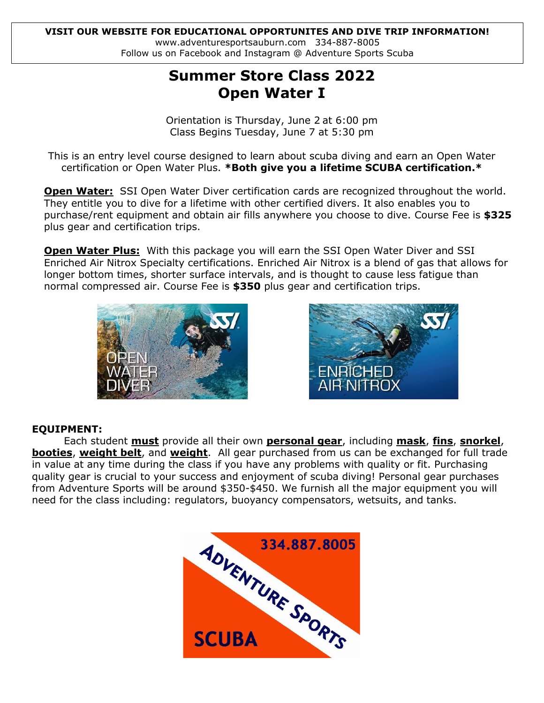#### www.adventuresportsauburn.com 334-887-8005 **VISIT OUR WEBSITE FOR EDUCATIONAL OPPORTUNITES AND DIVE TRIP INFORMATION!** Follow us on Facebook and Instagram @ Adventure Sports Scuba

# **Summer Store Class 2022 Open Water I**

Orientation is Thursday, June 2 at 6:00 pm Class Begins Tuesday, June 7 at 5:30 pm

This is an entry level course designed to learn about scuba diving and earn an Open Water certification or Open Water Plus. **\*Both give you a lifetime SCUBA certification.\***

**Open Water:** SSI Open Water Diver certification cards are recognized throughout the world. They entitle you to dive for a lifetime with other certified divers. It also enables you to purchase/rent equipment and obtain air fills anywhere you choose to dive. Course Fee is **\$325** plus gear and certification trips.

**Open Water Plus:** With this package you will earn the SSI Open Water Diver and SSI Enriched Air Nitrox Specialty certifications. Enriched Air Nitrox is a blend of gas that allows for longer bottom times, shorter surface intervals, and is thought to cause less fatigue than normal compressed air. Course Fee is **\$350** plus gear and certification trips.





# **EQUIPMENT:**

Each student **must** provide all their own **personal gear**, including **mask**, **fins**, **snorkel**, **booties**, **weight belt**, and **weight**. All gear purchased from us can be exchanged for full trade in value at any time during the class if you have any problems with quality or fit. Purchasing quality gear is crucial to your success and enjoyment of scuba diving! Personal gear purchases from Adventure Sports will be around \$350-\$450. We furnish all the major equipment you will need for the class including: regulators, buoyancy compensators, wetsuits, and tanks.